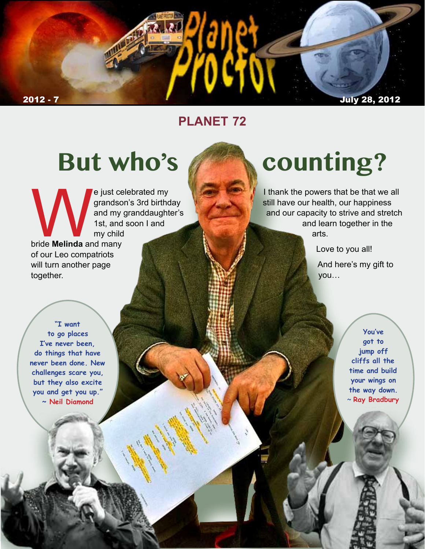

### **PLANET 72**

e just celebrated my<br>grandson's 3rd birthc<br>and my granddaught<br>1st, and soon I and<br>my child<br>bride Melinda and many grandson's 3rd birthday and my granddaughter's 1st, and soon I and my child bride **Melinda** and many of our Leo compatriots will turn another page together.

# But who's *Counting?*

I thank the powers that be that we all still have our health, our happiness and our capacity to strive and stretch and learn together in the arts.

> Love to you all! And here's my gift to you…

**"I want to go places I've never been, do things that have never been done. New challenges scare you, but they also excite you and get you up." ~ Neil Diamond**

**You've got to jump off cliffs all the time and build your wings on the way down.**  ~ **Ray Bradbury**

n *CONTINUED*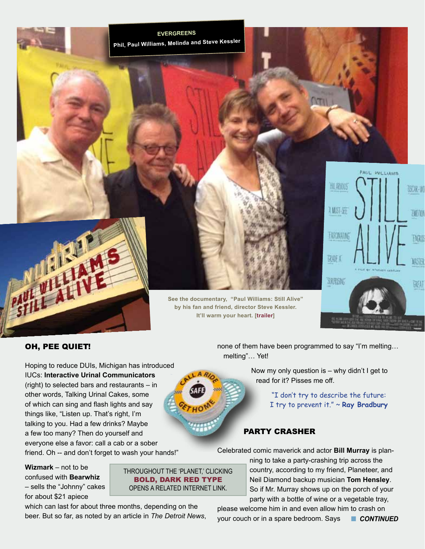

OH, PEE QUIET!

Hoping to reduce DUIs, Michigan has introduced IUCs: **Interactive Urinal Communicators** (right) to selected bars and restaurants – in other words, Talking Urinal Cakes, some of which can sing and flash lights and say things like, "Listen up. That's right, I'm talking to you. Had a few drinks? Maybe a few too many? Then do yourself and everyone else a favor: call a cab or a sober friend. Oh -- and don't forget to wash your hands!"

**Wizmark** – not to be confused with **Bearwhiz** – sells the "Johnny" cakes for about \$21 apiece

THROUGHOUT THE 'PLANET,' CLICKING BOLD, DARK RED TYPE OPENS A RELATED INTERNET LINK.

which can last for about three months, depending on the beer. But so far, as noted by an article in *The Detroit News*, none of them have been programmed to say "I'm melting… melting"… Yet!

> Now my only question is – why didn't I get to read for it? Pisses me off.

> > "I don't try to describe the future: I try to prevent it." ~ **Ray Bradbury**

#### PARTY CRASHER

Celebrated comic maverick and actor **Bill Murray** is plan-

ning to take a party-crashing trip across the country, according to my friend, Planeteer, and Neil Diamond backup musician **Tom Hensley**. So if Mr. Murray shows up on the porch of your party with a bottle of wine or a vegetable tray,

please welcome him in and even allow him to crash on your couch or in a spare bedroom. Says **n CONTINUED**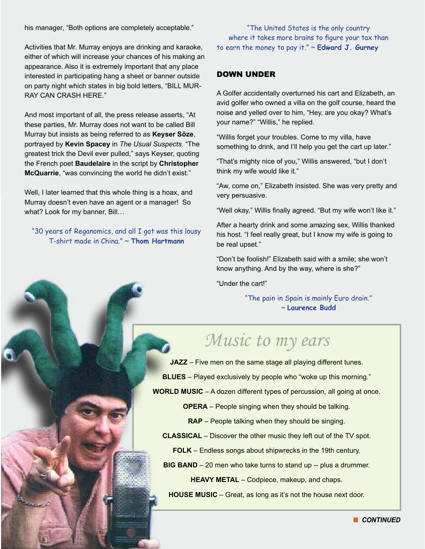his manager, "Both options are completely acceptable."

Activities that Mr. Murray enjoys are drinking and karaoke, either of which will increase your chances of his making an appearance. Also it is extremely important that any place interested in participating hang a sheet or banner outside on party night which states in big bold letters, "BILL MUR-RAY CAN CRASH HERE."

And most important of all, the press release asserts, "At these parties, Mr. Murray does not want to be called Bill Murray but insists as being referred to as **Keyser Söze**, portrayed by **Kevin Spacey** in *The Usual Suspects*. "The greatest trick the Devil ever pulled," says Keyser, quoting the French poet **Baudelaire** in the script by **Christopher McQuarrie**, "was convincing the world he didn't exist."

Well, I later learned that this whole thing is a hoax, and Murray doesn't even have an agent or a manager! So what? Look for my banner, Bill...

"30 years of Reganomics, and all I got was this lousy T-shirt made in China." ~ **Thom Hartmann**

"The United States is the only country where it takes more brains to figure your tax than to earn the money to pay it." ~ **Edward J. Gurney** 

#### DOWN UNDER

A Golfer accidentally overturned his cart and Elizabeth, an avid golfer who owned a villa on the golf course, heard the noise and yelled over to him, "Hey, are you okay? What's your name?" "Willis," he replied.

"Willis forget your troubles. Come to my villa, have something to drink, and I'll help you get the cart up later."

"That's mighty nice of you," Willis answered, "but I don't think my wife would like it."

"Aw, come on," Elizabeth insisted. She was very pretty and very persuasive.

"Well okay," Willis finally agreed. "But my wife won't like it."

After a hearty drink and some amazing sex, Willis thanked his host. "I feel really great, but I know my wife is going to be real upset."

"Don't be foolish!" Elizabeth said with a smile; she won't know anything. And by the way, where is she?"

"Under the cart!"

"The pain in Spain is mainly Euro drain." ~ **Laurence Budd**

### *Music to my ears*

**JAZZ** – Five men on the same stage all playing different tunes.

**BLUES** – Played exclusively by people who "woke up this morning."

**WORLD MUSIC** – A dozen different types of percussion, all going at once.

**OPERA** – People singing when they should be talking.

**RAP** – People talking when they should be singing.

**CLASSICAL** – Discover the other music they left out of the TV spot.

**FOLK** – Endless songs about shipwrecks in the 19th century.

**BIG BAND** – 20 men who take turns to stand up -- plus a drummer.

**HEAVY METAL** – Codpiece, makeup, and chaps.

**HOUSE MUSIC** – Great, as long as it's not the house next door.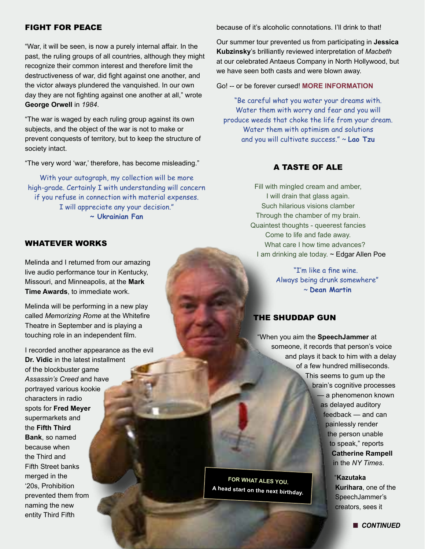#### FIGHT FOR PEACE

"War, it will be seen, is now a purely internal affair. In the past, the ruling groups of all countries, although they might recognize their common interest and therefore limit the destructiveness of war, did fight against one another, and the victor always plundered the vanquished. In our own day they are not fighting against one another at all," wrote **George Orwell** in *1984*.

"The war is waged by each ruling group against its own subjects, and the object of the war is not to make or prevent conquests of territory, but to keep the structure of society intact.

"The very word 'war,' therefore, has become misleading."

With your autograph, my collection will be more high-grade. Certainly I with understanding will concern if you refuse in connection with material expenses. I will appreciate any your decision." **~ Ukrainian Fan**

#### WHATEVER WORKS

Melinda and I returned from our amazing live audio performance tour in Kentucky, Missouri, and Minneapolis, at the **Mark Time Awards**, to immediate work.

Melinda will be performing in a new play called *Memorizing Rome* at the Whitefire Theatre in September and is playing a touching role in an independent film.

I recorded another appearance as the evil **Dr. Vidic** in the latest installment of the blockbuster game *Assassin's Creed* and have portrayed various kookie characters in radio spots for **Fred Meyer**  supermarkets and the **Fifth Third Bank**, so named because when the Third and Fifth Street banks merged in the '20s, Prohibition prevented them from naming the new

entity Third Fifth

because of it's alcoholic connotations. I'll drink to that!

Our summer tour prevented us from participating in **Jessica Kubzinsky**'s brilliantly reviewed interpretation of *Macbeth* at our celebrated Antaeus Company in North Hollywood, but we have seen both casts and were blown away.

Go! -- or be forever cursed! **[MORE INFORMATION](http://www.antaeus.org/onstagenow.html)**

"Be careful what you water your dreams with. Water them with worry and fear and you will produce weeds that choke the life from your dream. Water them with optimism and solutions and you will cultivate success." ~ **Lao Tzu** 

#### A TASTE OF ALE

Fill with mingled cream and amber, I will drain that glass again. Such hilarious visions clamber Through the chamber of my brain. Quaintest thoughts - queerest fancies Come to life and fade away. What care I how time advances? I am drinking ale today. ~ Edgar Allen Poe

> "I'm like a fine wine. Always being drunk somewhere" ~ **Dean Martin**

#### THE SHUDDAP GUN

"When you aim the **SpeechJammer** at someone, it records that person's voice and plays it back to him with a delay of a few hundred milliseconds. This seems to gum up the brain's cognitive processes — a phenomenon known as delayed auditory feedback — and can painlessly render the person unable to speak," reports **Catherine Rampell** in the *NY Times*.

**FOR WHAT ALES YOU. A head start on the next birthday.** "**Kazutaka Kurihara**, one of the SpeechJammer's creators, sees it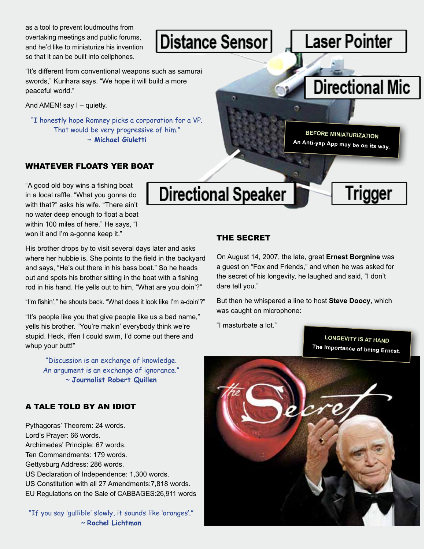as a tool to prevent loudmouths from overtaking meetings and public forums, and he'd like to miniaturize his invention so that it can be built into cellphones.

"It's different from conventional weapons such as samurai swords," Kurihara says. "We hope it will build a more peaceful world."

And AMEN! say I – quietly.

"I honestly hope Romney picks a corporation for a VP. That would be very progressive of him." ~ **Michael Giuletti**

#### WHATEVER FLOATS YER BOAT

"A good old boy wins a fishing boat in a local raffle. "What you gonna do with that?" asks his wife. "There ain't no water deep enough to float a boat within 100 miles of here." He says, "I won it and I'm a-gonna keep it."

His brother drops by to visit several days later and asks where her hubbie is. She points to the field in the backyard and says, "He's out there in his bass boat." So he heads out and spots his brother sitting in the boat with a fishing rod in his hand. He yells out to him, "What are you doin'?"

"I'm fishin'," he shouts back. "What does it look like I'm a-doin'?"

"It's people like you that give people like us a bad name," yells his brother. "You're makin' everybody think we're stupid. Heck, iffen I could swim, I'd come out there and whup your butt!"

> "Discussion is an exchange of knowledge. An argument is an exchange of ignorance." ~ **Journalist Robert Quillen**

#### A TALE TOLD BY AN IDIOT

Pythagoras' Theorem: 24 words. Lord's Prayer: 66 words. Archimedes' Principle: 67 words. Ten Commandments: 179 words. Gettysburg Address: 286 words. US Declaration of Independence: 1,300 words. US Constitution with all 27 Amendments:7,818 words. EU Regulations on the Sale of CABBAGES:26,911 words

"If you say 'gullible' slowly, it sounds like 'oranges'." ~ **Rachel Lichtman**

#### THE SECRET

**Directional Speaker** 

Distance Sensor

On August 14, 2007, the late, great **Ernest Borgnine** was a guest on "Fox and Friends," and when he was asked for the secret of his longevity, he laughed and said, "I don't dare tell you."

But then he whispered a line to host **Steve Doocy**, which was caught on microphone:

"I masturbate a lot."

**LONGEVITY IS AT HAND The Importance of being Ernest.**





Trigger

**BEFORE MINIATURIZATION An Anti-yap App may be on its way.**

### **Laser Pointer**